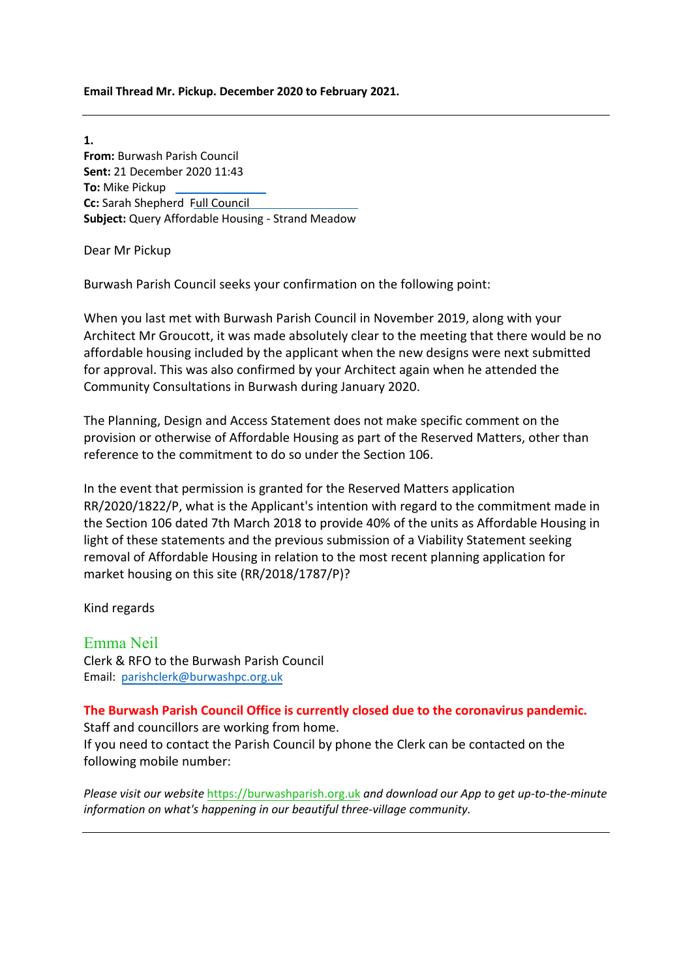**Email Thread Mr. Pickup. December 2020 to February 2021.**

**1. From:** Burwash Parish Council **Sent:** 21 December 2020 11:43 **To:** Mike Pickup **Cc:** Sarah Shepherd Full Council **Subject:** Query Affordable Housing - Strand Meadow

Dear Mr Pickup

Burwash Parish Council seeks your confirmation on the following point:

When you last met with Burwash Parish Council in November 2019, along with your Architect Mr Groucott, it was made absolutely clear to the meeting that there would be no affordable housing included by the applicant when the new designs were next submitted for approval. This was also confirmed by your Architect again when he attended the Community Consultations in Burwash during January 2020.

The Planning, Design and Access Statement does not make specific comment on the provision or otherwise of Affordable Housing as part of the Reserved Matters, other than reference to the commitment to do so under the Section 106.

In the event that permission is granted for the Reserved Matters application RR/2020/1822/P, what is the Applicant's intention with regard to the commitment made in the Section 106 dated 7th March 2018 to provide 40% of the units as Affordable Housing in light of these statements and the previous submission of a Viability Statement seeking removal of Affordable Housing in relation to the most recent planning application for market housing on this site (RR/2018/1787/P)?

Kind regards

Emma Neil Clerk & RFO to the Burwash Parish Council Email: [parishclerk@burwashpc.org.uk](mailto:parishclerk@burwashpc.org.uk)

## **The Burwash Parish Council Office is currently closed due to the coronavirus pandemic.**

Staff and councillors are working from home. If you need to contact the Parish Council by phone the Clerk can be contacted on the following mobile number:

*Please visit our website* [https://burwashparish.org.uk](https://burwashparish.org.uk/) *and download our App to get up-to-the-minute information on what's happening in our beautiful three-village community.*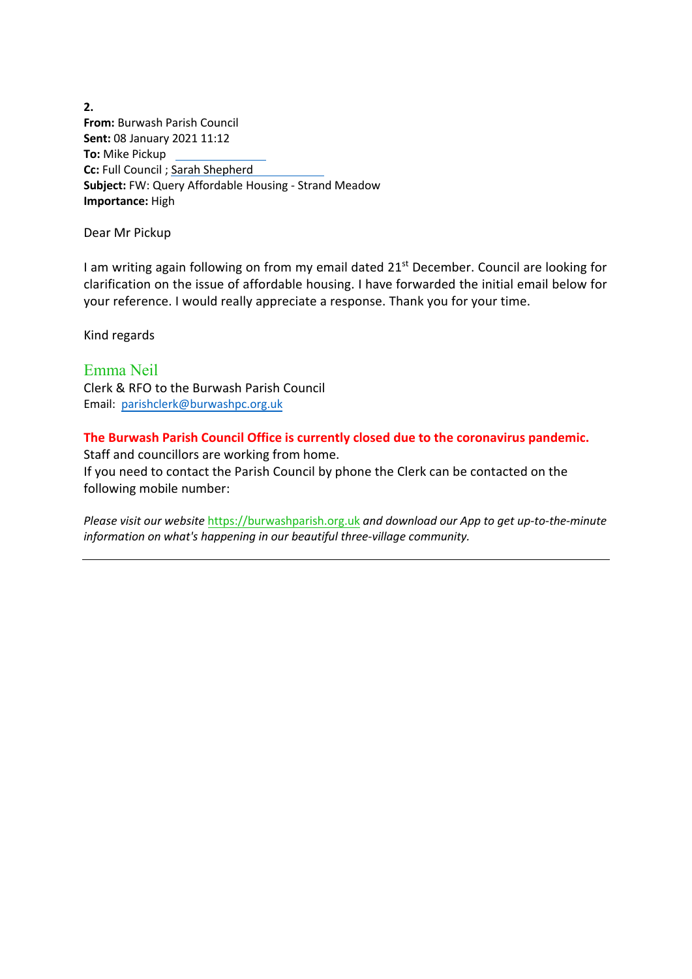**2. From:** Burwash Parish Council **Sent:** 08 January 2021 11:12 **To:** Mike Pickup **Cc:** Full Council ; Sarah Shepherd **Subject:** FW: Query Affordable Housing - Strand Meadow **Importance:** High

Dear Mr Pickup

I am writing again following on from my email dated 21<sup>st</sup> December. Council are looking for clarification on the issue of affordable housing. I have forwarded the initial email below for your reference. I would really appreciate a response. Thank you for your time.

Kind regards

Emma Neil Clerk & RFO to the Burwash Parish Council Email: [parishclerk@burwashpc.org.uk](mailto:parishclerk@burwashpc.org.uk)

**The Burwash Parish Council Office is currently closed due to the coronavirus pandemic.** Staff and councillors are working from home. If you need to contact the Parish Council by phone the Clerk can be contacted on the following mobile number:

*Please visit our website* [https://burwashparish.org.uk](https://burwashparish.org.uk/) *and download our App to get up-to-the-minute information on what's happening in our beautiful three-village community.*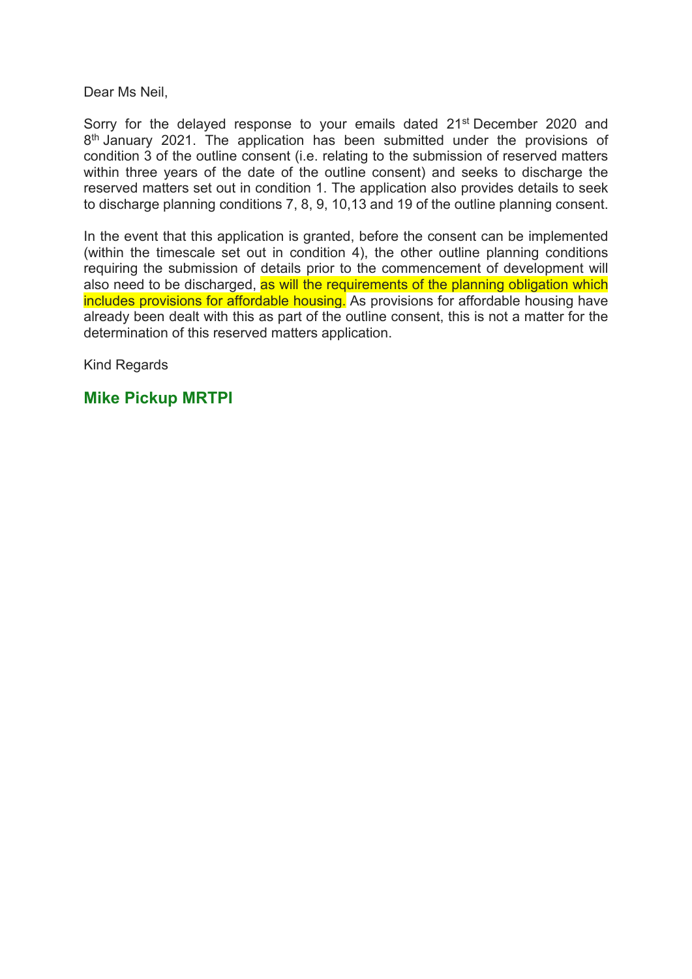Dear Ms Neil,

Sorry for the delayed response to your emails dated 21<sup>st</sup> December 2020 and 8<sup>th</sup> January 2021. The application has been submitted under the provisions of condition 3 of the outline consent (i.e. relating to the submission of reserved matters within three years of the date of the outline consent) and seeks to discharge the reserved matters set out in condition 1. The application also provides details to seek to discharge planning conditions 7, 8, 9, 10,13 and 19 of the outline planning consent.

In the event that this application is granted, before the consent can be implemented (within the timescale set out in condition 4), the other outline planning conditions requiring the submission of details prior to the commencement of development will also need to be discharged, as will the requirements of the planning obligation which includes provisions for affordable housing. As provisions for affordable housing have already been dealt with this as part of the outline consent, this is not a matter for the determination of this reserved matters application.

Kind Regards

## **Mike Pickup MRTPI**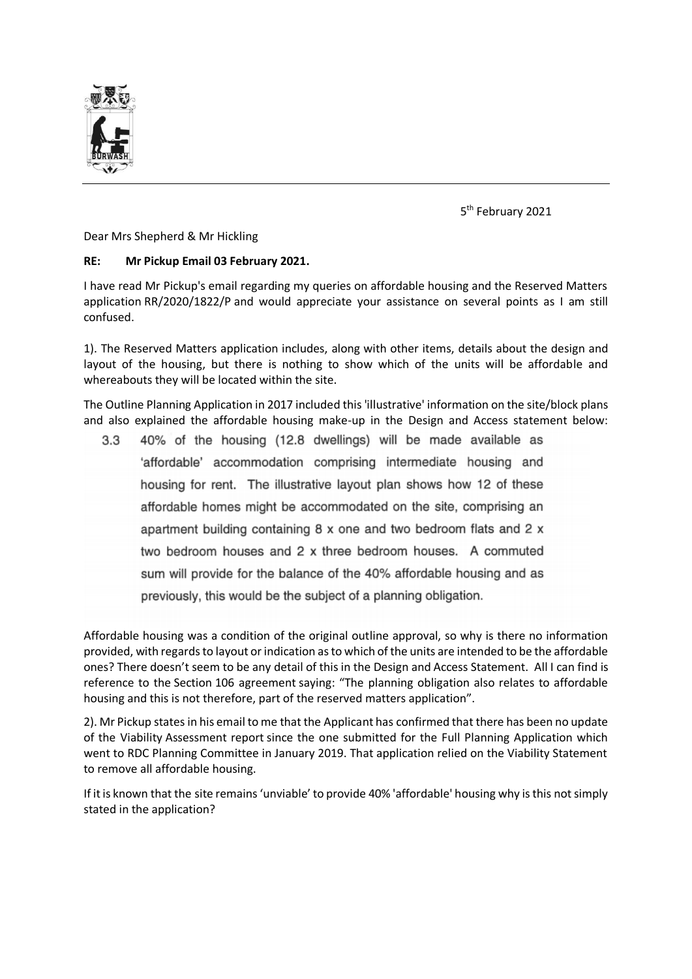

5 th February 2021

Dear Mrs Shepherd & Mr Hickling

## **RE: Mr Pickup Email 03 February 2021.**

I have read Mr Pickup's email regarding my queries on affordable housing and the Reserved Matters application RR/2020/1822/P and would appreciate your assistance on several points as I am still confused.

1). The Reserved Matters application includes, along with other items, details about the design and layout of the housing, but there is nothing to show which of the units will be affordable and whereabouts they will be located within the site. 

The Outline Planning Application in 2017 included this 'illustrative' information on the site/block plans and also explained the affordable housing make-up in the Design and Access statement below:

40% of the housing (12.8 dwellings) will be made available as  $3.3$ 'affordable' accommodation comprising intermediate housing and housing for rent. The illustrative layout plan shows how 12 of these affordable homes might be accommodated on the site, comprising an apartment building containing 8 x one and two bedroom flats and 2 x two bedroom houses and 2 x three bedroom houses. A commuted sum will provide for the balance of the 40% affordable housing and as previously, this would be the subject of a planning obligation.

Affordable housing was a condition of the original outline approval, so why is there no information provided, with regards to layout or indication as to which of the units are intended to be the affordable ones? There doesn't seem to be any detail of this in the Design and Access Statement. All I can find is reference to the Section 106 agreement saying: "The planning obligation also relates to affordable housing and this is not therefore, part of the reserved matters application".

2). Mr Pickup states in his email to me that the Applicant has confirmed that there has been no update of the Viability Assessment report since the one submitted for the Full Planning Application which went to RDC Planning Committee in January 2019. That application relied on the Viability Statement to remove all affordable housing.

If it is known that the site remains 'unviable' to provide 40% 'affordable' housing why is this not simply stated in the application?